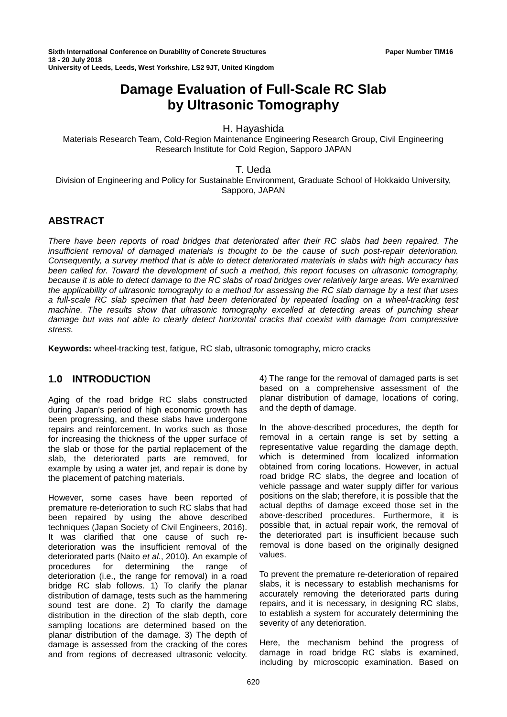**Sixth International Conference on Durability of Concrete Structures Paper Number TIM16 18 - 20 July 2018 University of Leeds, Leeds, West Yorkshire, LS2 9JT, United Kingdom**

# **Damage Evaluation of Full-Scale RC Slab by Ultrasonic Tomography**

H. Hayashida

Materials Research Team, Cold-Region Maintenance Engineering Research Group, Civil Engineering Research Institute for Cold Region, Sapporo JAPAN

T. Ueda

Division of Engineering and Policy for Sustainable Environment, Graduate School of Hokkaido University, Sapporo, JAPAN

## **ABSTRACT**

*There have been reports of road bridges that deteriorated after their RC slabs had been repaired. The insufficient removal of damaged materials is thought to be the cause of such post-repair deterioration. Consequently, a survey method that is able to detect deteriorated materials in slabs with high accuracy has been called for. Toward the development of such a method, this report focuses on ultrasonic tomography, because it is able to detect damage to the RC slabs of road bridges over relatively large areas. We examined the applicability of ultrasonic tomography to a method for assessing the RC slab damage by a test that uses a full-scale RC slab specimen that had been deteriorated by repeated loading on a wheel-tracking test machine. The results show that ultrasonic tomography excelled at detecting areas of punching shear damage but was not able to clearly detect horizontal cracks that coexist with damage from compressive stress.*

**Keywords:** wheel-tracking test, fatigue, RC slab, ultrasonic tomography, micro cracks

## **1.0 INTRODUCTION**

Aging of the road bridge RC slabs constructed during Japan's period of high economic growth has been progressing, and these slabs have undergone repairs and reinforcement. In works such as those for increasing the thickness of the upper surface of the slab or those for the partial replacement of the slab, the deteriorated parts are removed, for example by using a water jet, and repair is done by the placement of patching materials.

However, some cases have been reported of premature re-deterioration to such RC slabs that had been repaired by using the above described techniques (Japan Society of Civil Engineers, 2016). It was clarified that one cause of such redeterioration was the insufficient removal of the deteriorated parts (Naito *et al*., 2010). An example of procedures for determining the range of deterioration (i.e., the range for removal) in a road bridge RC slab follows. 1) To clarify the planar distribution of damage, tests such as the hammering sound test are done. 2) To clarify the damage distribution in the direction of the slab depth, core sampling locations are determined based on the planar distribution of the damage. 3) The depth of damage is assessed from the cracking of the cores and from regions of decreased ultrasonic velocity.

4) The range for the removal of damaged parts is set based on a comprehensive assessment of the planar distribution of damage, locations of coring, and the depth of damage.

In the above-described procedures, the depth for removal in a certain range is set by setting a representative value regarding the damage depth, which is determined from localized information obtained from coring locations. However, in actual road bridge RC slabs, the degree and location of vehicle passage and water supply differ for various positions on the slab; therefore, it is possible that the actual depths of damage exceed those set in the above-described procedures. Furthermore, it is possible that, in actual repair work, the removal of the deteriorated part is insufficient because such removal is done based on the originally designed values.

To prevent the premature re-deterioration of repaired slabs, it is necessary to establish mechanisms for accurately removing the deteriorated parts during repairs, and it is necessary, in designing RC slabs, to establish a system for accurately determining the severity of any deterioration.

Here, the mechanism behind the progress of damage in road bridge RC slabs is examined, including by microscopic examination. Based on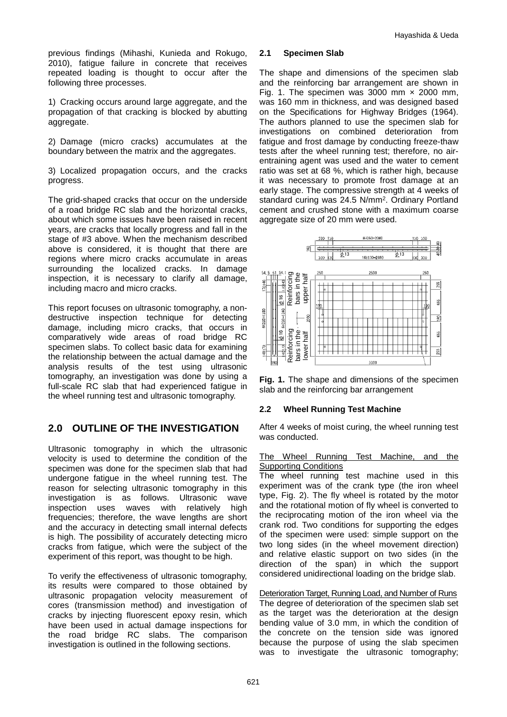previous findings (Mihashi, Kunieda and Rokugo, 2010), fatigue failure in concrete that receives repeated loading is thought to occur after the following three processes.

1) Cracking occurs around large aggregate, and the propagation of that cracking is blocked by abutting aggregate.

2) Damage (micro cracks) accumulates at the boundary between the matrix and the aggregates.

3) Localized propagation occurs, and the cracks progress.

The grid-shaped cracks that occur on the underside of a road bridge RC slab and the horizontal cracks, about which some issues have been raised in recent years, are cracks that locally progress and fall in the stage of #3 above. When the mechanism described above is considered, it is thought that there are regions where micro cracks accumulate in areas surrounding the localized cracks. In damage inspection, it is necessary to clarify all damage, including macro and micro cracks.

This report focuses on ultrasonic tomography, a nondestructive inspection technique for detecting damage, including micro cracks, that occurs in comparatively wide areas of road bridge RC specimen slabs. To collect basic data for examining the relationship between the actual damage and the analysis results of the test using ultrasonic tomography, an investigation was done by using a full-scale RC slab that had experienced fatigue in the wheel running test and ultrasonic tomography.

## **2.0 OUTLINE OF THE INVESTIGATION**

Ultrasonic tomography in which the ultrasonic velocity is used to determine the condition of the specimen was done for the specimen slab that had undergone fatigue in the wheel running test. The reason for selecting ultrasonic tomography in this<br>investigation is as follows. Ultrasonic wave investigation is as follows. inspection uses waves with relatively high frequencies; therefore, the wave lengths are short and the accuracy in detecting small internal defects is high. The possibility of accurately detecting micro cracks from fatigue, which were the subject of the experiment of this report, was thought to be high.

To verify the effectiveness of ultrasonic tomography, its results were compared to those obtained by ultrasonic propagation velocity measurement of cores (transmission method) and investigation of cracks by injecting fluorescent epoxy resin, which have been used in actual damage inspections for the road bridge RC slabs. The comparison investigation is outlined in the following sections.

### **2.1 Specimen Slab**

The shape and dimensions of the specimen slab and the reinforcing bar arrangement are shown in Fig. 1. The specimen was 3000 mm  $\times$  2000 mm, was 160 mm in thickness, and was designed based on the Specifications for Highway Bridges (1964). The authors planned to use the specimen slab for investigations on combined deterioration from fatigue and frost damage by conducting freeze-thaw tests after the wheel running test; therefore, no airentraining agent was used and the water to cement ratio was set at 68 %, which is rather high, because it was necessary to promote frost damage at an early stage. The compressive strength at 4 weeks of standard curing was 24.5 N/mm2. Ordinary Portland cement and crushed stone with a maximum coarse aggregate size of 20 mm were used.



**Fig. 1.** The shape and dimensions of the specimen slab and the reinforcing bar arrangement

## **2.2 Wheel Running Test Machine**

After 4 weeks of moist curing, the wheel running test was conducted.

#### The Wheel Running Test Machine, and the Supporting Conditions

The wheel running test machine used in this experiment was of the crank type (the iron wheel type, Fig. 2). The fly wheel is rotated by the motor and the rotational motion of fly wheel is converted to the reciprocating motion of the iron wheel via the crank rod. Two conditions for supporting the edges of the specimen were used: simple support on the two long sides (in the wheel movement direction) and relative elastic support on two sides (in the direction of the span) in which the support considered unidirectional loading on the bridge slab. What the total in the ultrasonic tomography;<br>
The unit of the ultrasonic tomography; The unit of the unit of the unit of the unit of the unit of the unit of the unit of the unit of the unit of the unit of the unit of the

Deterioration Target, Running Load, and Number of Runs The degree of deterioration of the specimen slab set as the target was the deterioration at the design bending value of 3.0 mm, in which the condition of the concrete on the tension side was ignored because the purpose of using the slab specimen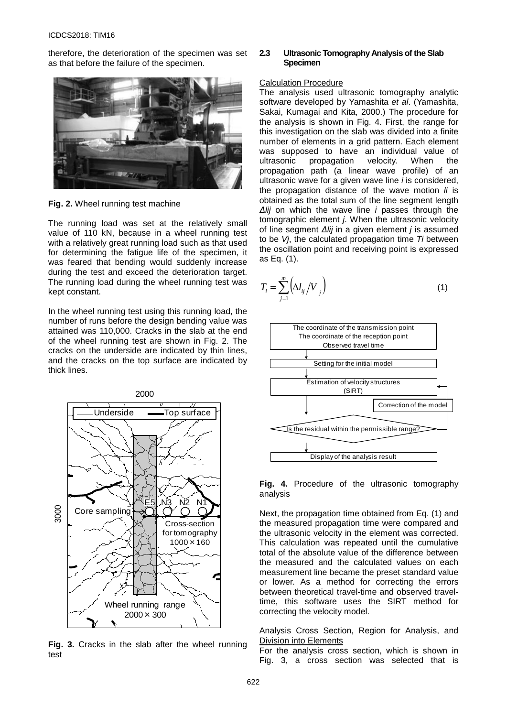therefore, the deterioration of the specimen was set as that before the failure of the specimen.



**Fig. 2.** Wheel running test machine

The running load was set at the relatively small value of 110 kN, because in a wheel running test with a relatively great running load such as that used for determining the fatigue life of the specimen, it was feared that bending would suddenly increase during the test and exceed the deterioration target. The running load during the wheel running test was kept constant.

In the wheel running test using this running load, the number of runs before the design bending value was attained was 110,000. Cracks in the slab at the end of the wheel running test are shown in Fig. 2. The cracks on the underside are indicated by thin lines, and the cracks on the top surface are indicated by thick lines.



**Fig. 3.** Cracks in the slab after the wheel running test

#### **2.3 Ultrasonic Tomography Analysis of the Slab Specimen**

#### Calculation Procedure

The analysis used ultrasonic tomography analytic software developed by Yamashita *et al*. (Yamashita, Sakai, Kumagai and Kita, 2000.) The procedure for the analysis is shown in Fig. 4. First, the range for this investigation on the slab was divided into a finite number of elements in a grid pattern. Each element was supposed to have an individual value of ultrasonic propagation velocity. When the propagation path (a linear wave profile) of an ultrasonic wave for a given wave line *i* is considered, the propagation distance of the wave motion *li* is obtained as the total sum of the line segment length *Δlij* on which the wave line *i* passes through the tomographic element *j*. When the ultrasonic velocity of line segment *Δlij* in a given element *j* is assumed to be *Vj*, the calculated propagation time *Ti* between the oscillation point and receiving point is expressed as Eq. (1).

$$
T_i = \sum_{j=1}^{m} \left( \Delta l_{ij} / V_{j} \right)
$$
 (1)



**Fig. 4.** Procedure of the ultrasonic tomography analysis

Next, the propagation time obtained from Eq. (1) and the measured propagation time were compared and the ultrasonic velocity in the element was corrected. This calculation was repeated until the cumulative total of the absolute value of the difference between the measured and the calculated values on each measurement line became the preset standard value or lower. As a method for correcting the errors between theoretical travel-time and observed traveltime, this software uses the SIRT method for correcting the velocity model.

Analysis Cross Section, Region for Analysis, and Division into Elements

For the analysis cross section, which is shown in Fig. 3, a cross section was selected that is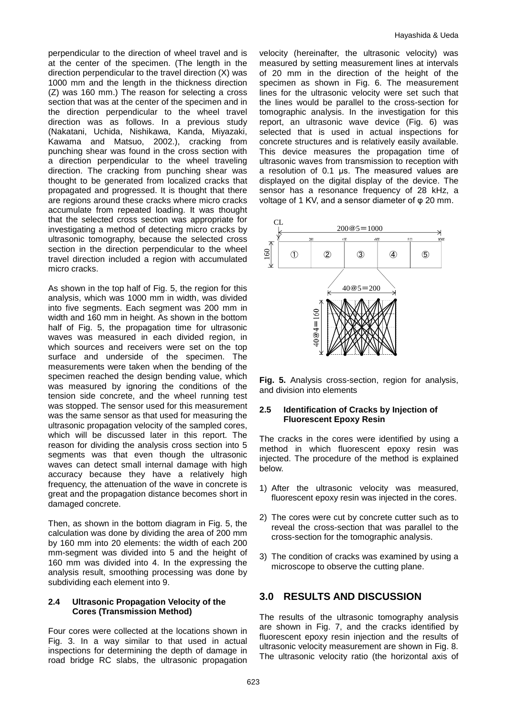perpendicular to the direction of wheel travel and is at the center of the specimen. (The length in the direction perpendicular to the travel direction (X) was 1000 mm and the length in the thickness direction (Z) was 160 mm.) The reason for selecting a cross section that was at the center of the specimen and in the direction perpendicular to the wheel travel direction was as follows. In a previous study (Nakatani, Uchida, Nishikawa, Kanda, Miyazaki, Kawama and Matsuo, 2002.), cracking from punching shear was found in the cross section with a direction perpendicular to the wheel traveling direction. The cracking from punching shear was thought to be generated from localized cracks that propagated and progressed. It is thought that there are regions around these cracks where micro cracks accumulate from repeated loading. It was thought that the selected cross section was appropriate for investigating a method of detecting micro cracks by ultrasonic tomography, because the selected cross section in the direction perpendicular to the wheel travel direction included a region with accumulated micro cracks.

As shown in the top half of Fig. 5, the region for this analysis, which was 1000 mm in width, was divided into five segments. Each segment was 200 mm in width and 160 mm in height. As shown in the bottom half of Fig. 5, the propagation time for ultrasonic waves was measured in each divided region, in which sources and receivers were set on the top surface and underside of the specimen. The measurements were taken when the bending of the specimen reached the design bending value, which was measured by ignoring the conditions of the tension side concrete, and the wheel running test was stopped. The sensor used for this measurement was the same sensor as that used for measuring the ultrasonic propagation velocity of the sampled cores, which will be discussed later in this report. The reason for dividing the analysis cross section into 5 segments was that even though the ultrasonic waves can detect small internal damage with high accuracy because they have a relatively high frequency, the attenuation of the wave in concrete is great and the propagation distance becomes short in damaged concrete.

Then, as shown in the bottom diagram in Fig. 5, the calculation was done by dividing the area of 200 mm by 160 mm into 20 elements: the width of each 200 mm-segment was divided into 5 and the height of 160 mm was divided into 4. In the expressing the analysis result, smoothing processing was done by subdividing each element into 9.

#### **2.4 Ultrasonic Propagation Velocity of the Cores (Transmission Method)**

Four cores were collected at the locations shown in Fig. 3. In a way similar to that used in actual inspections for determining the depth of damage in road bridge RC slabs, the ultrasonic propagation velocity (hereinafter, the ultrasonic velocity) was measured by setting measurement lines at intervals of 20 mm in the direction of the height of the specimen as shown in Fig. 6. The measurement lines for the ultrasonic velocity were set such that the lines would be parallel to the cross-section for tomographic analysis. In the investigation for this report, an ultrasonic wave device (Fig. 6) was selected that is used in actual inspections for concrete structures and is relatively easily available. This device measures the propagation time of ultrasonic waves from transmission to reception with a resolution of 0.1 μs. The measured values are displayed on the digital display of the device. The sensor has a resonance frequency of 28 kHz, a voltage of 1 KV, and a sensor diameter of φ 20 mm.



**Fig. 5.** Analysis cross-section, region for analysis, and division into elements

#### **2.5 Identification of Cracks by Injection of Fluorescent Epoxy Resin**

The cracks in the cores were identified by using a method in which fluorescent epoxy resin was injected. The procedure of the method is explained below.

- 1) After the ultrasonic velocity was measured, fluorescent epoxy resin was injected in the cores.
- 2) The cores were cut by concrete cutter such as to reveal the cross-section that was parallel to the cross-section for the tomographic analysis.
- 3) The condition of cracks was examined by using a microscope to observe the cutting plane.

## **3.0 RESULTS AND DISCUSSION**

The results of the ultrasonic tomography analysis are shown in Fig. 7, and the cracks identified by fluorescent epoxy resin injection and the results of ultrasonic velocity measurement are shown in Fig. 8. The ultrasonic velocity ratio (the horizontal axis of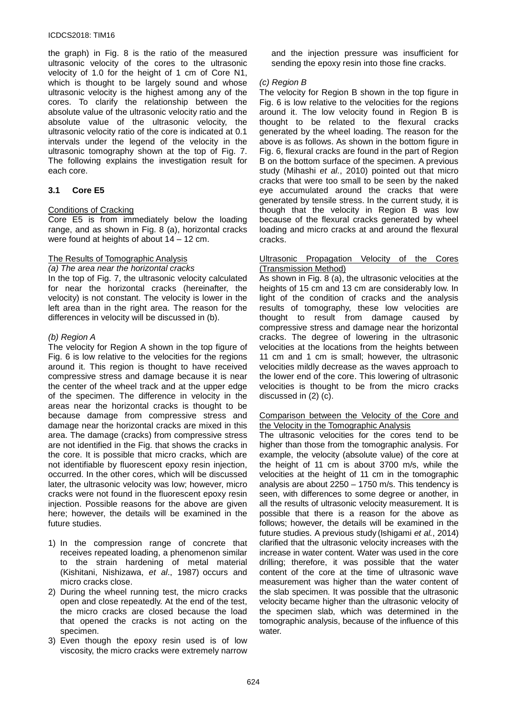#### ICDCS2018: TIM16

the graph) in Fig. 8 is the ratio of the measured ultrasonic velocity of the cores to the ultrasonic velocity of 1.0 for the height of 1 cm of Core N1, which is thought to be largely sound and whose ultrasonic velocity is the highest among any of the cores. To clarify the relationship between the absolute value of the ultrasonic velocity ratio and the absolute value of the ultrasonic velocity, the ultrasonic velocity ratio of the core is indicated at 0.1 intervals under the legend of the velocity in the ultrasonic tomography shown at the top of Fig. 7. The following explains the investigation result for each core.

#### **3.1 Core E5**

#### Conditions of Cracking

Core E5 is from immediately below the loading range, and as shown in Fig. 8 (a), horizontal cracks were found at heights of about 14 – 12 cm.

#### The Results of Tomographic Analysis

#### *(a) The area near the horizontal cracks*

In the top of Fig. 7, the ultrasonic velocity calculated for near the horizontal cracks (hereinafter, the velocity) is not constant. The velocity is lower in the left area than in the right area. The reason for the differences in velocity will be discussed in (b).

#### *(b) Region A*

The velocity for Region A shown in the top figure of Fig. 6 is low relative to the velocities for the regions around it. This region is thought to have received compressive stress and damage because it is near the center of the wheel track and at the upper edge of the specimen. The difference in velocity in the areas near the horizontal cracks is thought to be because damage from compressive stress and damage near the horizontal cracks are mixed in this area. The damage (cracks) from compressive stress are not identified in the Fig. that shows the cracks in the core. It is possible that micro cracks, which are not identifiable by fluorescent epoxy resin injection, occurred. In the other cores, which will be discussed later, the ultrasonic velocity was low; however, micro cracks were not found in the fluorescent epoxy resin injection. Possible reasons for the above are given here; however, the details will be examined in the future studies.

- 1) In the compression range of concrete that receives repeated loading, a phenomenon similar to the strain hardening of metal material (Kishitani, Nishizawa, *et al*., 1987) occurs and micro cracks close.
- 2) During the wheel running test, the micro cracks open and close repeatedly. At the end of the test, the micro cracks are closed because the load that opened the cracks is not acting on the specimen.
- 3) Even though the epoxy resin used is of low viscosity, the micro cracks were extremely narrow

and the injection pressure was insufficient for sending the epoxy resin into those fine cracks.

#### *(c) Region B*

The velocity for Region B shown in the top figure in Fig. 6 is low relative to the velocities for the regions around it. The low velocity found in Region B is thought to be related to the flexural cracks generated by the wheel loading. The reason for the above is as follows. As shown in the bottom figure in Fig. 6, flexural cracks are found in the part of Region B on the bottom surface of the specimen. A previous study (Mihashi *et al.*, 2010) pointed out that micro cracks that were too small to be seen by the naked eye accumulated around the cracks that were generated by tensile stress. In the current study, it is though that the velocity in Region B was low because of the flexural cracks generated by wheel loading and micro cracks at and around the flexural cracks.

#### Ultrasonic Propagation Velocity of the Cores (Transmission Method)

As shown in Fig. 8 (a), the ultrasonic velocities at the heights of 15 cm and 13 cm are considerably low. In light of the condition of cracks and the analysis results of tomography, these low velocities are thought to result from damage caused by compressive stress and damage near the horizontal cracks. The degree of lowering in the ultrasonic velocities at the locations from the heights between 11 cm and 1 cm is small; however, the ultrasonic velocities mildly decrease as the waves approach to the lower end of the core. This lowering of ultrasonic velocities is thought to be from the micro cracks discussed in (2) (c).

#### Comparison between the Velocity of the Core and the Velocity in the Tomographic Analysis

The ultrasonic velocities for the cores tend to be higher than those from the tomographic analysis. For example, the velocity (absolute value) of the core at the height of 11 cm is about 3700 m/s, while the velocities at the height of 11 cm in the tomographic analysis are about 2250 – 1750 m/s. This tendency is seen, with differences to some degree or another, in all the results of ultrasonic velocity measurement. It is possible that there is a reason for the above as follows; however, the details will be examined in the future studies. A previous study (Ishigami *et al.*, 2014) clarified that the ultrasonic velocity increases with the increase in water content. Water was used in the core drilling; therefore, it was possible that the water content of the core at the time of ultrasonic wave measurement was higher than the water content of the slab specimen. It was possible that the ultrasonic velocity became higher than the ultrasonic velocity of the specimen slab, which was determined in the tomographic analysis, because of the influence of this water.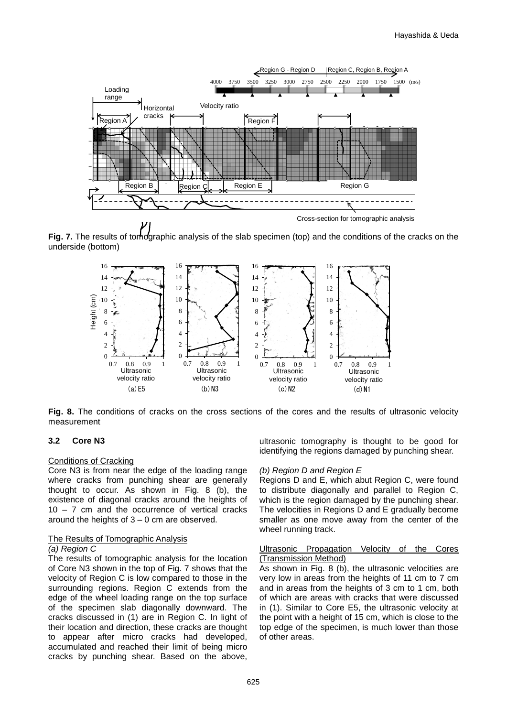

Cross-section for tomographic analysis

**Fig. 7.** The results of tomographic analysis of the slab specimen (top) and the conditions of the cracks on the underside (bottom)



**Fig. 8.** The conditions of cracks on the cross sections of the cores and the results of ultrasonic velocity measurement

#### **3.2 Core N3**

#### Conditions of Cracking

Core N3 is from near the edge of the loading range where cracks from punching shear are generally thought to occur. As shown in Fig. 8 (b), the existence of diagonal cracks around the heights of 10 – 7 cm and the occurrence of vertical cracks around the heights of  $3 - 0$  cm are observed.

#### The Results of Tomographic Analysis

#### *(a) Region C*

The results of tomographic analysis for the location of Core N3 shown in the top of Fig. 7 shows that the velocity of Region C is low compared to those in the surrounding regions. Region C extends from the edge of the wheel loading range on the top surface of the specimen slab diagonally downward. The cracks discussed in (1) are in Region C. In light of their location and direction, these cracks are thought to appear after micro cracks had developed, accumulated and reached their limit of being micro cracks by punching shear. Based on the above,

ultrasonic tomography is thought to be good for identifying the regions damaged by punching shear.

#### *(b) Region D and Region E*

Regions D and E, which abut Region C, were found to distribute diagonally and parallel to Region C, which is the region damaged by the punching shear. The velocities in Regions D and E gradually become smaller as one move away from the center of the wheel running track.

#### Ultrasonic Propagation Velocity of the Cores (Transmission Method)

As shown in Fig. 8 (b), the ultrasonic velocities are very low in areas from the heights of 11 cm to 7 cm and in areas from the heights of 3 cm to 1 cm, both of which are areas with cracks that were discussed in (1). Similar to Core E5, the ultrasonic velocity at the point with a height of 15 cm, which is close to the top edge of the specimen, is much lower than those of other areas.